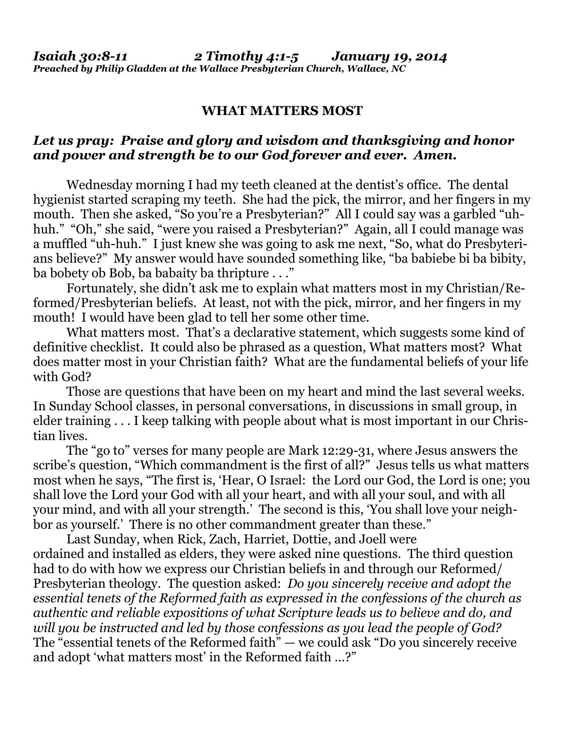## **WHAT MATTERS MOST**

## *Let us pray: Praise and glory and wisdom and thanksgiving and honor and power and strength be to our God forever and ever. Amen.*

Wednesday morning I had my teeth cleaned at the dentist's office. The dental hygienist started scraping my teeth. She had the pick, the mirror, and her fingers in my mouth. Then she asked, "So you're a Presbyterian?" All I could say was a garbled "uhhuh." "Oh," she said, "were you raised a Presbyterian?" Again, all I could manage was a muffled "uh-huh." I just knew she was going to ask me next, "So, what do Presbyterians believe?" My answer would have sounded something like, "ba babiebe bi ba bibity, ba bobety ob Bob, ba babaity ba thripture . . ."

 Fortunately, she didn't ask me to explain what matters most in my Christian/Reformed/Presbyterian beliefs. At least, not with the pick, mirror, and her fingers in my mouth! I would have been glad to tell her some other time.

What matters most. That's a declarative statement, which suggests some kind of definitive checklist. It could also be phrased as a question, What matters most? What does matter most in your Christian faith? What are the fundamental beliefs of your life with God?

 Those are questions that have been on my heart and mind the last several weeks. In Sunday School classes, in personal conversations, in discussions in small group, in elder training . . . I keep talking with people about what is most important in our Christian lives.

 The "go to" verses for many people are Mark 12:29-31, where Jesus answers the scribe's question, "Which commandment is the first of all?" Jesus tells us what matters most when he says, "The first is, 'Hear, O Israel: the Lord our God, the Lord is one; you shall love the Lord your God with all your heart, and with all your soul, and with all your mind, and with all your strength.' The second is this, 'You shall love your neighbor as yourself.' There is no other commandment greater than these."

 Last Sunday, when Rick, Zach, Harriet, Dottie, and Joell were ordained and installed as elders, they were asked nine questions. The third question had to do with how we express our Christian beliefs in and through our Reformed/ Presbyterian theology. The question asked: *Do you sincerely receive and adopt the essential tenets of the Reformed faith as expressed in the confessions of the church as authentic and reliable expositions of what Scripture leads us to believe and do, and will you be instructed and led by those confessions as you lead the people of God?*  The "essential tenets of the Reformed faith" — we could ask "Do you sincerely receive and adopt 'what matters most' in the Reformed faith …?"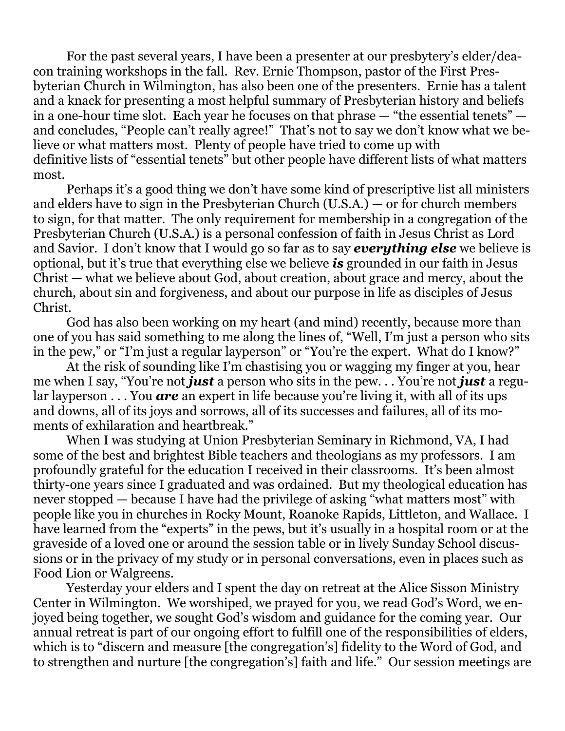For the past several years, I have been a presenter at our presbytery's elder/deacon training workshops in the fall. Rev. Ernie Thompson, pastor of the First Presbyterian Church in Wilmington, has also been one of the presenters. Ernie has a talent and a knack for presenting a most helpful summary of Presbyterian history and beliefs in a one-hour time slot. Each year he focuses on that phrase — "the essential tenets" and concludes, "People can't really agree!" That's not to say we don't know what we believe or what matters most. Plenty of people have tried to come up with definitive lists of "essential tenets" but other people have different lists of what matters most.

 Perhaps it's a good thing we don't have some kind of prescriptive list all ministers and elders have to sign in the Presbyterian Church (U.S.A.) — or for church members to sign, for that matter. The only requirement for membership in a congregation of the Presbyterian Church (U.S.A.) is a personal confession of faith in Jesus Christ as Lord and Savior. I don't know that I would go so far as to say *everything else* we believe is optional, but it's true that everything else we believe *is* grounded in our faith in Jesus Christ — what we believe about God, about creation, about grace and mercy, about the church, about sin and forgiveness, and about our purpose in life as disciples of Jesus Christ.

 God has also been working on my heart (and mind) recently, because more than one of you has said something to me along the lines of, "Well, I'm just a person who sits in the pew," or "I'm just a regular layperson" or "You're the expert. What do I know?"

 At the risk of sounding like I'm chastising you or wagging my finger at you, hear me when I say, "You're not *just* a person who sits in the pew. . . You're not *just* a regular layperson . . . You *are* an expert in life because you're living it, with all of its ups and downs, all of its joys and sorrows, all of its successes and failures, all of its moments of exhilaration and heartbreak."

 When I was studying at Union Presbyterian Seminary in Richmond, VA, I had some of the best and brightest Bible teachers and theologians as my professors. I am profoundly grateful for the education I received in their classrooms. It's been almost thirty-one years since I graduated and was ordained. But my theological education has never stopped — because I have had the privilege of asking "what matters most" with people like you in churches in Rocky Mount, Roanoke Rapids, Littleton, and Wallace. I have learned from the "experts" in the pews, but it's usually in a hospital room or at the graveside of a loved one or around the session table or in lively Sunday School discussions or in the privacy of my study or in personal conversations, even in places such as Food Lion or Walgreens.

 Yesterday your elders and I spent the day on retreat at the Alice Sisson Ministry Center in Wilmington. We worshiped, we prayed for you, we read God's Word, we enjoyed being together, we sought God's wisdom and guidance for the coming year. Our annual retreat is part of our ongoing effort to fulfill one of the responsibilities of elders, which is to "discern and measure [the congregation's] fidelity to the Word of God, and to strengthen and nurture [the congregation's] faith and life." Our session meetings are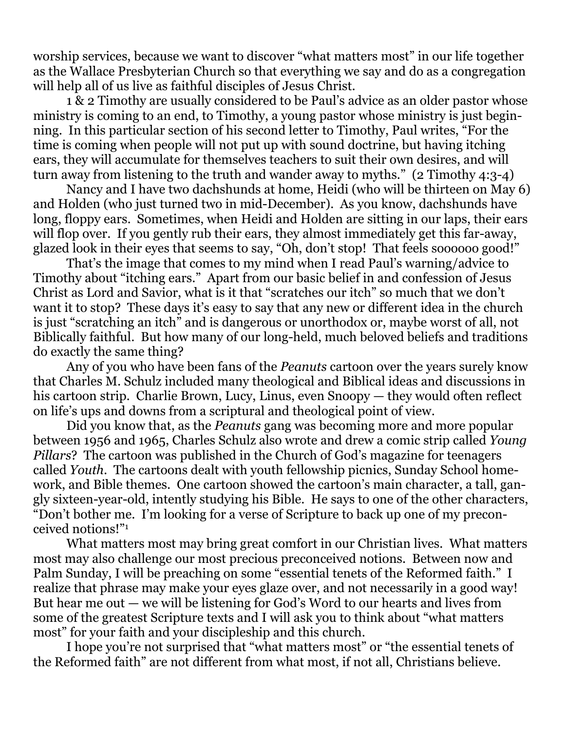worship services, because we want to discover "what matters most" in our life together as the Wallace Presbyterian Church so that everything we say and do as a congregation will help all of us live as faithful disciples of Jesus Christ.

 1 & 2 Timothy are usually considered to be Paul's advice as an older pastor whose ministry is coming to an end, to Timothy, a young pastor whose ministry is just beginning. In this particular section of his second letter to Timothy, Paul writes, "For the time is coming when people will not put up with sound doctrine, but having itching ears, they will accumulate for themselves teachers to suit their own desires, and will turn away from listening to the truth and wander away to myths." (2 Timothy 4:3-4)

 Nancy and I have two dachshunds at home, Heidi (who will be thirteen on May 6) and Holden (who just turned two in mid-December). As you know, dachshunds have long, floppy ears. Sometimes, when Heidi and Holden are sitting in our laps, their ears will flop over. If you gently rub their ears, they almost immediately get this far-away, glazed look in their eyes that seems to say, "Oh, don't stop! That feels soooooo good!"

 That's the image that comes to my mind when I read Paul's warning/advice to Timothy about "itching ears." Apart from our basic belief in and confession of Jesus Christ as Lord and Savior, what is it that "scratches our itch" so much that we don't want it to stop? These days it's easy to say that any new or different idea in the church is just "scratching an itch" and is dangerous or unorthodox or, maybe worst of all, not Biblically faithful. But how many of our long-held, much beloved beliefs and traditions do exactly the same thing?

 Any of you who have been fans of the *Peanuts* cartoon over the years surely know that Charles M. Schulz included many theological and Biblical ideas and discussions in his cartoon strip. Charlie Brown, Lucy, Linus, even Snoopy — they would often reflect on life's ups and downs from a scriptural and theological point of view.

 Did you know that, as the *Peanuts* gang was becoming more and more popular between 1956 and 1965, Charles Schulz also wrote and drew a comic strip called *Young Pillars*? The cartoon was published in the Church of God's magazine for teenagers called *Youth*. The cartoons dealt with youth fellowship picnics, Sunday School homework, and Bible themes. One cartoon showed the cartoon's main character, a tall, gangly sixteen-year-old, intently studying his Bible. He says to one of the other characters, "Don't bother me. I'm looking for a verse of Scripture to back up one of my preconceived notions!"1

 What matters most may bring great comfort in our Christian lives. What matters most may also challenge our most precious preconceived notions. Between now and Palm Sunday, I will be preaching on some "essential tenets of the Reformed faith." I realize that phrase may make your eyes glaze over, and not necessarily in a good way! But hear me out — we will be listening for God's Word to our hearts and lives from some of the greatest Scripture texts and I will ask you to think about "what matters most" for your faith and your discipleship and this church.

 I hope you're not surprised that "what matters most" or "the essential tenets of the Reformed faith" are not different from what most, if not all, Christians believe.